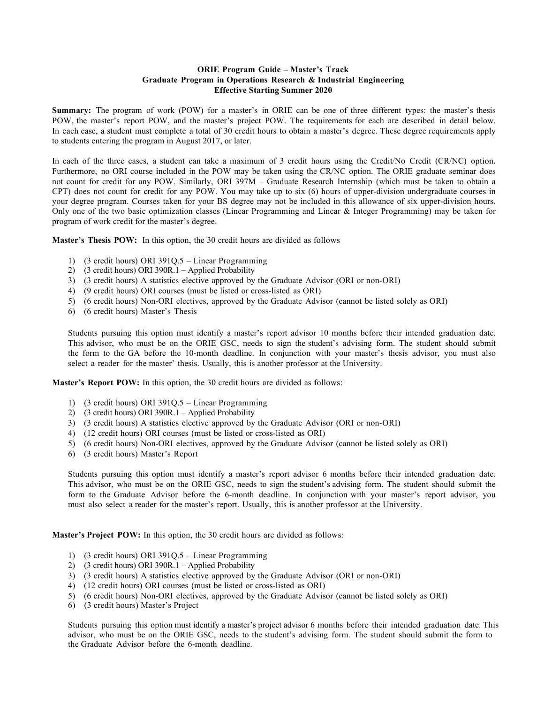# **ORIE Program Guide – Master's Track Graduate Program in Operations Research & Industrial Engineering Effective Starting Summer 2020**

**Summary:** The program of work (POW) for a master's in ORIE can be one of three different types: the master's thesis POW, the master's report POW, and the master's project POW. The requirements for each are described in detail below. In each case, a student must complete a total of 30 credit hours to obtain a master's degree. These degree requirements apply to students entering the program in August 2017, or later.

In each of the three cases, a student can take a maximum of 3 credit hours using the Credit/No Credit (CR/NC) option. Furthermore, no ORI course included in the POW may be taken using the CR/NC option. The ORIE graduate seminar does not count for credit for any POW. Similarly, ORI 397M – Graduate Research Internship (which must be taken to obtain a CPT) does not count for credit for any POW. You may take up to six (6) hours of upper-division undergraduate courses in your degree program. Courses taken for your BS degree may not be included in this allowance of six upper-division hours. Only one of the two basic optimization classes (Linear Programming and Linear & Integer Programming) may be taken for program of work credit for the master's degree.

**Master's Thesis POW:** In this option, the 30 credit hours are divided as follows

- 1) (3 credit hours) ORI 391Q.5 Linear Programming
- 2)  $(3 \text{ credit hours}) \text{ ORI } 390R.1 \text{Applied Probability}$
- 3) (3 credit hours) A statistics elective approved by the Graduate Advisor (ORI or non-ORI)
- 4) (9 credit hours) ORI courses (must be listed or cross-listed as ORI)
- 5) (6 credit hours) Non-ORI electives, approved by the Graduate Advisor (cannot be listed solely as ORI)
- 6) (6 credit hours) Master's Thesis

Students pursuing this option must identify a master's report advisor 10 months before their intended graduation date. This advisor, who must be on the ORIE GSC, needs to sign the student's advising form. The student should submit the form to the GA before the 10-month deadline. In conjunction with your master's thesis advisor, you must also select a reader for the master' thesis. Usually, this is another professor at the University.

**Master's Report POW:** In this option, the 30 credit hours are divided as follows:

- 1) (3 credit hours) ORI 391Q.5 Linear Programming
- 2) (3 credit hours) ORI 390R.1 Applied Probability
- 3) (3 credit hours) A statistics elective approved by the Graduate Advisor (ORI or non-ORI)
- 4) (12 credit hours) ORI courses (must be listed or cross-listed as ORI)
- 5) (6 credit hours) Non-ORI electives, approved by the Graduate Advisor (cannot be listed solely as ORI)
- 6) (3 credit hours) Master's Report

Students pursuing this option must identify a master's report advisor 6 months before their intended graduation date. This advisor, who must be on the ORIE GSC, needs to sign the student's advising form. The student should submit the form to the Graduate Advisor before the 6-month deadline. In conjunction with your master's report advisor, you must also select a reader for the master's report. Usually, this is another professor at the University.

**Master's Project POW:** In this option, the 30 credit hours are divided as follows:

- 1) (3 credit hours) ORI 391Q.5 Linear Programming
- 2) (3 credit hours) ORI 390R.1 Applied Probability
- 3) (3 credit hours) A statistics elective approved by the Graduate Advisor (ORI or non-ORI)
- 4) (12 credit hours) ORI courses (must be listed or cross-listed as ORI)
- 5) (6 credit hours) Non-ORI electives, approved by the Graduate Advisor (cannot be listed solely as ORI)
- 6) (3 credit hours) Master's Project

Students pursuing this option must identify a master's project advisor 6 months before their intended graduation date. This advisor, who must be on the ORIE GSC, needs to the student's advising form. The student should submit the form to the Graduate Advisor before the 6-month deadline.